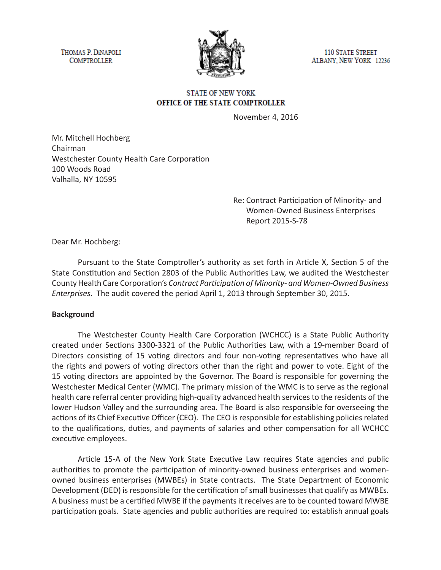THOMAS P. DINAPOLI **COMPTROLLER** 



**110 STATE STREET** ALBANY, NEW YORK 12236

#### **STATE OF NEW YORK** OFFICE OF THE STATE COMPTROLLER

November 4, 2016

Mr. Mitchell Hochberg Chairman Westchester County Health Care Corporation 100 Woods Road Valhalla, NY 10595

> Re: Contract Participation of Minority- and Women-Owned Business Enterprises Report 2015-S-78

Dear Mr. Hochberg:

Pursuant to the State Comptroller's authority as set forth in Article X, Section 5 of the State Constitution and Section 2803 of the Public Authorities Law, we audited the Westchester County Health Care Corporation's *Contract Participation of Minority- and Women-Owned Business Enterprises*. The audit covered the period April 1, 2013 through September 30, 2015.

#### **Background**

The Westchester County Health Care Corporation (WCHCC) is a State Public Authority created under Sections 3300-3321 of the Public Authorities Law, with a 19-member Board of Directors consisting of 15 voting directors and four non-voting representatives who have all the rights and powers of voting directors other than the right and power to vote. Eight of the 15 voting directors are appointed by the Governor. The Board is responsible for governing the Westchester Medical Center (WMC). The primary mission of the WMC is to serve as the regional health care referral center providing high-quality advanced health services to the residents of the lower Hudson Valley and the surrounding area. The Board is also responsible for overseeing the actions of its Chief Executive Officer (CEO). The CEO is responsible for establishing policies related to the qualifications, duties, and payments of salaries and other compensation for all WCHCC executive employees.

Article 15-A of the New York State Executive Law requires State agencies and public authorities to promote the participation of minority-owned business enterprises and womenowned business enterprises (MWBEs) in State contracts. The State Department of Economic Development (DED) is responsible for the certification of small businesses that qualify as MWBEs. A business must be a certified MWBE if the payments it receives are to be counted toward MWBE participation goals. State agencies and public authorities are required to: establish annual goals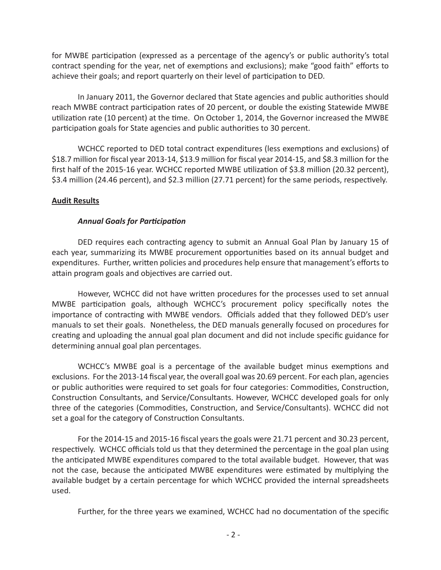for MWBE participation (expressed as a percentage of the agency's or public authority's total contract spending for the year, net of exemptions and exclusions); make "good faith" efforts to achieve their goals; and report quarterly on their level of participation to DED.

In January 2011, the Governor declared that State agencies and public authorities should reach MWBE contract participation rates of 20 percent, or double the existing Statewide MWBE utilization rate (10 percent) at the time. On October 1, 2014, the Governor increased the MWBE participation goals for State agencies and public authorities to 30 percent.

WCHCC reported to DED total contract expenditures (less exemptions and exclusions) of \$18.7 million for fiscal year 2013-14, \$13.9 million for fiscal year 2014-15, and \$8.3 million for the first half of the 2015-16 year. WCHCC reported MWBE utilization of \$3.8 million (20.32 percent), \$3.4 million (24.46 percent), and \$2.3 million (27.71 percent) for the same periods, respectively.

## **Audit Results**

## *Annual Goals for Participation*

DED requires each contracting agency to submit an Annual Goal Plan by January 15 of each year, summarizing its MWBE procurement opportunities based on its annual budget and expenditures. Further, written policies and procedures help ensure that management's efforts to attain program goals and objectives are carried out.

However, WCHCC did not have written procedures for the processes used to set annual MWBE participation goals, although WCHCC's procurement policy specifically notes the importance of contracting with MWBE vendors. Officials added that they followed DED's user manuals to set their goals. Nonetheless, the DED manuals generally focused on procedures for creating and uploading the annual goal plan document and did not include specific guidance for determining annual goal plan percentages.

WCHCC's MWBE goal is a percentage of the available budget minus exemptions and exclusions. For the 2013-14 fiscal year, the overall goal was 20.69 percent. For each plan, agencies or public authorities were required to set goals for four categories: Commodities, Construction, Construction Consultants, and Service/Consultants. However, WCHCC developed goals for only three of the categories (Commodities, Construction, and Service/Consultants). WCHCC did not set a goal for the category of Construction Consultants.

For the 2014-15 and 2015-16 fiscal years the goals were 21.71 percent and 30.23 percent, respectively. WCHCC officials told us that they determined the percentage in the goal plan using the anticipated MWBE expenditures compared to the total available budget. However, that was not the case, because the anticipated MWBE expenditures were estimated by multiplying the available budget by a certain percentage for which WCHCC provided the internal spreadsheets used.

Further, for the three years we examined, WCHCC had no documentation of the specific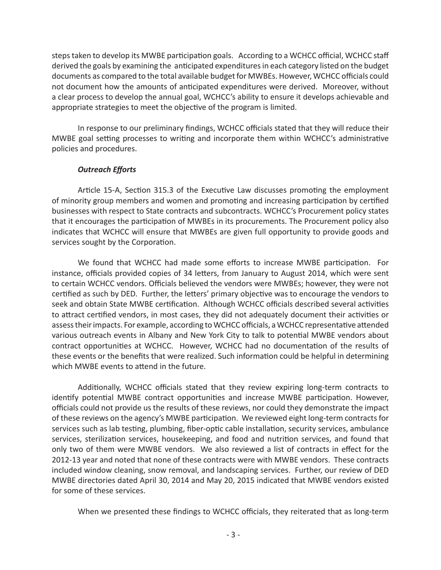steps taken to develop its MWBE participation goals. According to a WCHCC official, WCHCC staff derived the goals by examining the anticipated expenditures in each category listed on the budget documents as compared to the total available budget for MWBEs. However, WCHCC officials could not document how the amounts of anticipated expenditures were derived. Moreover, without a clear process to develop the annual goal, WCHCC's ability to ensure it develops achievable and appropriate strategies to meet the objective of the program is limited.

In response to our preliminary findings, WCHCC officials stated that they will reduce their MWBE goal setting processes to writing and incorporate them within WCHCC's administrative policies and procedures.

## *Outreach Efforts*

Article 15-A, Section 315.3 of the Executive Law discusses promoting the employment of minority group members and women and promoting and increasing participation by certified businesses with respect to State contracts and subcontracts. WCHCC's Procurement policy states that it encourages the participation of MWBEs in its procurements. The Procurement policy also indicates that WCHCC will ensure that MWBEs are given full opportunity to provide goods and services sought by the Corporation.

We found that WCHCC had made some efforts to increase MWBE participation. For instance, officials provided copies of 34 letters, from January to August 2014, which were sent to certain WCHCC vendors. Officials believed the vendors were MWBEs; however, they were not certified as such by DED. Further, the letters' primary objective was to encourage the vendors to seek and obtain State MWBE certification. Although WCHCC officials described several activities to attract certified vendors, in most cases, they did not adequately document their activities or assess their impacts. For example, according to WCHCC officials, a WCHCC representative attended various outreach events in Albany and New York City to talk to potential MWBE vendors about contract opportunities at WCHCC. However, WCHCC had no documentation of the results of these events or the benefits that were realized. Such information could be helpful in determining which MWBE events to attend in the future.

Additionally, WCHCC officials stated that they review expiring long-term contracts to identify potential MWBE contract opportunities and increase MWBE participation. However, officials could not provide us the results of these reviews, nor could they demonstrate the impact of these reviews on the agency's MWBE participation. We reviewed eight long-term contracts for services such as lab testing, plumbing, fiber-optic cable installation, security services, ambulance services, sterilization services, housekeeping, and food and nutrition services, and found that only two of them were MWBE vendors. We also reviewed a list of contracts in effect for the 2012-13 year and noted that none of these contracts were with MWBE vendors. These contracts included window cleaning, snow removal, and landscaping services. Further, our review of DED MWBE directories dated April 30, 2014 and May 20, 2015 indicated that MWBE vendors existed for some of these services.

When we presented these findings to WCHCC officials, they reiterated that as long-term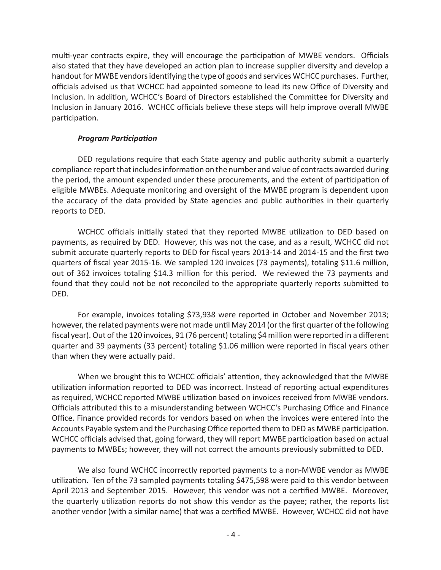multi-year contracts expire, they will encourage the participation of MWBE vendors. Officials also stated that they have developed an action plan to increase supplier diversity and develop a handout for MWBE vendors identifying the type of goods and services WCHCC purchases. Further, officials advised us that WCHCC had appointed someone to lead its new Office of Diversity and Inclusion. In addition, WCHCC's Board of Directors established the Committee for Diversity and Inclusion in January 2016. WCHCC officials believe these steps will help improve overall MWBE participation.

## *Program Participation*

DED regulations require that each State agency and public authority submit a quarterly compliance report that includes information on the number and value of contracts awarded during the period, the amount expended under these procurements, and the extent of participation of eligible MWBEs. Adequate monitoring and oversight of the MWBE program is dependent upon the accuracy of the data provided by State agencies and public authorities in their quarterly reports to DED.

WCHCC officials initially stated that they reported MWBE utilization to DED based on payments, as required by DED. However, this was not the case, and as a result, WCHCC did not submit accurate quarterly reports to DED for fiscal years 2013-14 and 2014-15 and the first two quarters of fiscal year 2015-16. We sampled 120 invoices (73 payments), totaling \$11.6 million, out of 362 invoices totaling \$14.3 million for this period. We reviewed the 73 payments and found that they could not be not reconciled to the appropriate quarterly reports submitted to DED.

For example, invoices totaling \$73,938 were reported in October and November 2013; however, the related payments were not made until May 2014 (or the first quarter of the following fiscal year). Out of the 120 invoices, 91 (76 percent) totaling \$4 million were reported in a different quarter and 39 payments (33 percent) totaling \$1.06 million were reported in fiscal years other than when they were actually paid.

When we brought this to WCHCC officials' attention, they acknowledged that the MWBE utilization information reported to DED was incorrect. Instead of reporting actual expenditures as required, WCHCC reported MWBE utilization based on invoices received from MWBE vendors. Officials attributed this to a misunderstanding between WCHCC's Purchasing Office and Finance Office. Finance provided records for vendors based on when the invoices were entered into the Accounts Payable system and the Purchasing Office reported them to DED as MWBE participation. WCHCC officials advised that, going forward, they will report MWBE participation based on actual payments to MWBEs; however, they will not correct the amounts previously submitted to DED.

We also found WCHCC incorrectly reported payments to a non-MWBE vendor as MWBE utilization. Ten of the 73 sampled payments totaling \$475,598 were paid to this vendor between April 2013 and September 2015. However, this vendor was not a certified MWBE. Moreover, the quarterly utilization reports do not show this vendor as the payee; rather, the reports list another vendor (with a similar name) that was a certified MWBE. However, WCHCC did not have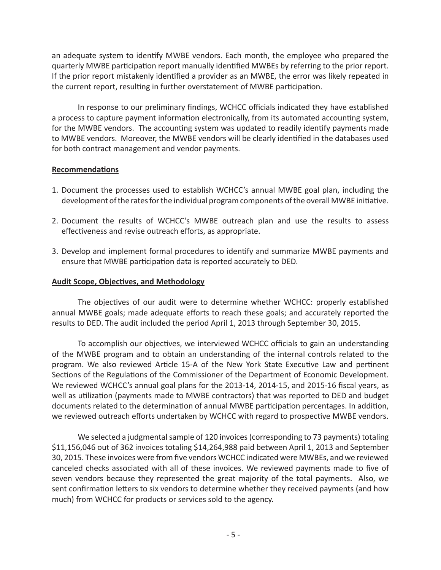an adequate system to identify MWBE vendors. Each month, the employee who prepared the quarterly MWBE participation report manually identified MWBEs by referring to the prior report. If the prior report mistakenly identified a provider as an MWBE, the error was likely repeated in the current report, resulting in further overstatement of MWBE participation.

In response to our preliminary findings, WCHCC officials indicated they have established a process to capture payment information electronically, from its automated accounting system, for the MWBE vendors. The accounting system was updated to readily identify payments made to MWBE vendors. Moreover, the MWBE vendors will be clearly identified in the databases used for both contract management and vendor payments.

#### **Recommendations**

- 1. Document the processes used to establish WCHCC's annual MWBE goal plan, including the development of the rates for the individual program components of the overall MWBE initiative.
- 2. Document the results of WCHCC's MWBE outreach plan and use the results to assess effectiveness and revise outreach efforts, as appropriate.
- 3. Develop and implement formal procedures to identify and summarize MWBE payments and ensure that MWBE participation data is reported accurately to DED.

#### **Audit Scope, Objectives, and Methodology**

The objectives of our audit were to determine whether WCHCC: properly established annual MWBE goals; made adequate efforts to reach these goals; and accurately reported the results to DED. The audit included the period April 1, 2013 through September 30, 2015.

To accomplish our objectives, we interviewed WCHCC officials to gain an understanding of the MWBE program and to obtain an understanding of the internal controls related to the program. We also reviewed Article 15-A of the New York State Executive Law and pertinent Sections of the Regulations of the Commissioner of the Department of Economic Development. We reviewed WCHCC's annual goal plans for the 2013-14, 2014-15, and 2015-16 fiscal years, as well as utilization (payments made to MWBE contractors) that was reported to DED and budget documents related to the determination of annual MWBE participation percentages. In addition, we reviewed outreach efforts undertaken by WCHCC with regard to prospective MWBE vendors.

We selected a judgmental sample of 120 invoices (corresponding to 73 payments) totaling \$11,156,046 out of 362 invoices totaling \$14,264,988 paid between April 1, 2013 and September 30, 2015. These invoices were from five vendors WCHCC indicated were MWBEs, and we reviewed canceled checks associated with all of these invoices. We reviewed payments made to five of seven vendors because they represented the great majority of the total payments. Also, we sent confirmation letters to six vendors to determine whether they received payments (and how much) from WCHCC for products or services sold to the agency.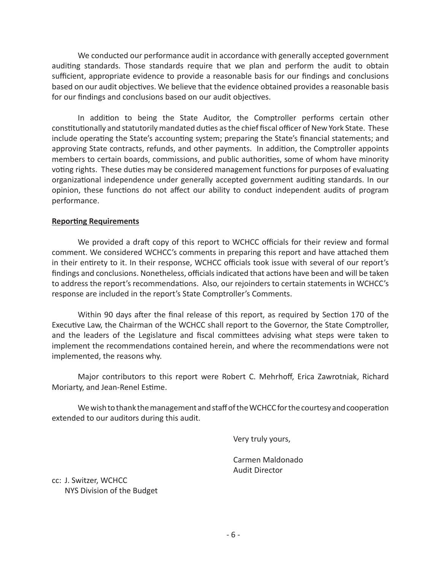We conducted our performance audit in accordance with generally accepted government auditing standards. Those standards require that we plan and perform the audit to obtain sufficient, appropriate evidence to provide a reasonable basis for our findings and conclusions based on our audit objectives. We believe that the evidence obtained provides a reasonable basis for our findings and conclusions based on our audit objectives.

In addition to being the State Auditor, the Comptroller performs certain other constitutionally and statutorily mandated duties as the chief fiscal officer of New York State. These include operating the State's accounting system; preparing the State's financial statements; and approving State contracts, refunds, and other payments. In addition, the Comptroller appoints members to certain boards, commissions, and public authorities, some of whom have minority voting rights. These duties may be considered management functions for purposes of evaluating organizational independence under generally accepted government auditing standards. In our opinion, these functions do not affect our ability to conduct independent audits of program performance.

#### **Reporting Requirements**

We provided a draft copy of this report to WCHCC officials for their review and formal comment. We considered WCHCC's comments in preparing this report and have attached them in their entirety to it. In their response, WCHCC officials took issue with several of our report's findings and conclusions. Nonetheless, officials indicated that actions have been and will be taken to address the report's recommendations. Also, our rejoinders to certain statements in WCHCC's response are included in the report's State Comptroller's Comments.

Within 90 days after the final release of this report, as required by Section 170 of the Executive Law, the Chairman of the WCHCC shall report to the Governor, the State Comptroller, and the leaders of the Legislature and fiscal committees advising what steps were taken to implement the recommendations contained herein, and where the recommendations were not implemented, the reasons why.

Major contributors to this report were Robert C. Mehrhoff, Erica Zawrotniak, Richard Moriarty, and Jean-Renel Estime.

We wish to thank the management and staff of the WCHCC for the courtesy and cooperation extended to our auditors during this audit.

Very truly yours,

Carmen Maldonado Audit Director

cc: J. Switzer, WCHCC NYS Division of the Budget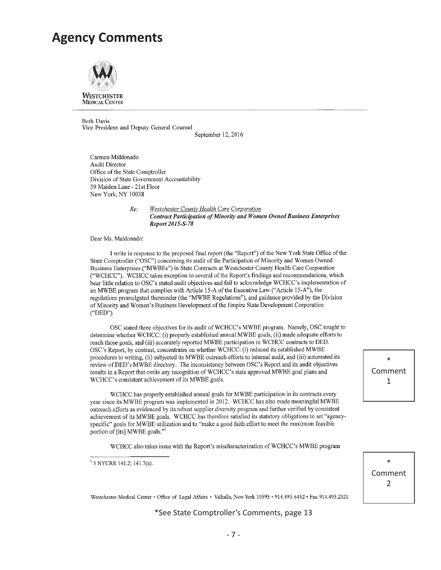## **Agency Comments**



**MEDICAL CENTER** 

**Beth Davis** Vice President and Deputy General Counsel

September 12, 2016

Carmen Maldonado **Audit Director** Office of the State Comptroller Division of State Government Accountability 59 Maiden Lane - 21st Floor New York, NY 10038

 $Re:$ 

Westchester County Health Care Corporation **Contract Participation of Minority and Women Owned Business Enterprises** Report 2015-S-78

Dear Ms. Maldonado:

I write in response to the proposed final report (the "Report") of the New York State Office of the State Comptroller ("OSC") concerning its audit of the Participation of Minority and Women Owned Business Enterprises ("MWBEs") in State Contracts at Westchester County Health Care Corporation ("WCHCC"). WCHCC takes exception to several of the Report's findings and recommendations, which bear little relation to OSC's stated audit objectives and fail to acknowledge WCHCC's implementation of an MWBE program that complies with Article 15-A of the Executive Law ("Article 15-A"), the regulations promulgated thereunder (the "MWBE Regulations"), and guidance provided by the Division of Minority and Women's Business Development of the Empire State Development Corporation ("DED").

OSC stated three objectives for its audit of WCHCC's MWBE program. Namely, OSC sought to determine whether WCHCC: (i) properly established annual MWBE goals, (ii) made adequate efforts to reach those goals, and (iii) accurately reported MWBE participation in WCHCC contracts to DED. OSC's Report, by contrast, concentrates on whether WCHCC: (i) reduced its established MWBE procedures to writing, (ii) subjected its MWBE outreach efforts to internal audit, and (iii) automated its review of DED's MWBE directory. The inconsistency between OSC's Report and its audit objectives results in a Report that omits any recognition of WCHCC's state approved MWBE goal plans and WCHCC's consistent achievement of its MWBE goals.

WCHCC has properly established annual goals for MWBE participation in its contracts every year since its MWBE program was implemented in 2012. WCHCC has also made meaningful MWBE outreach efforts as evidenced by its robust supplier diversity program and further verified by consistent achievement of its MWBE goals. WCHCC has therefore satisfied its statutory obligations to set "agencyspecific" goals for MWBE utilization and to "make a good faith effort to meet the maximum feasible portion of [its] MWBE goals."

WCHCC also takes issue with the Report's mischaracterization of WCHCC's MWBE program

<sup>1</sup> 5 NYCRR 141.2; 141.7(a).

Westchester Medical Center . Office of Legal Affairs . Valhalla, New York 10595 . 914.493.6452 . Fax 914.493.2321

\*See State Comptroller's Comments, page 13

\* Comment 1

\* Comment 2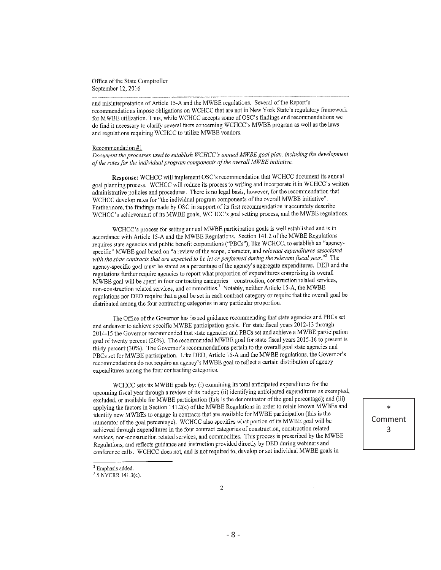and misinterpretation of Article 15-A and the MWBE regulations. Several of the Report's recommendations impose obligations on WCHCC that are not in New York State's regulatory framework for MWBE utilization. Thus, while WCHCC accepts some of OSC's findings and recommendations we do find it necessary to clarify several facts concerning WCHCC's MWBE program as well as the laws and regulations requiring WCHCC to utilize MWBE vendors.

#### Recommendation #1

Document the processes used to establish WCHCC's annual MWBE goal plan, including the development of the rates for the individual program components of the overall MWBE initiative.

Response: WCHCC will implement OSC's recommendation that WCHCC document its annual goal planning process. WCHCC will reduce its process to writing and incorporate it in WCHCC's written administrative policies and procedures. There is no legal basis, however, for the recommendation that WCHCC develop rates for "the individual program components of the overall MWBE initiative". Furthermore, the findings made by OSC in support of its first recommendation inaccurately describe WCHCC's achievement of its MWBE goals, WCHCC's goal setting process, and the MWBE regulations.

WCHCC's process for setting annual MWBE participation goals is well established and is in accordance with Article 15-A and the MWBE Regulations. Section 141.2 of the MWBE Regulations requires state agencies and public benefit corporations ("PBCs"), like WCHCC, to establish an "agencyspecific" MWBE goal based on "a review of the scope, character, and relevant expenditures associated with the state contracts that are expected to be let or performed during the relevant fiscal year."<sup>2</sup> The agency-specific goal must be stated as a percentage of the agency's aggregate expenditures. DED and the regulations further require agencies to report what proportion of expenditures comprising its overall MWBE goal will be spent in four contracting categories - construction, construction related services, non-construction related services, and commodities.<sup>3</sup> Notably, neither Article 15-A, the MWBE regulations nor DED require that a goal be set in each contract category or require that the overall goal be distributed among the four contracting categories in any particular proportion.

The Office of the Governor has issued guidance recommending that state agencies and PBCs set and endeavor to achieve specific MWBE participation goals. For state fiscal years 2012-13 through 2014-15 the Governor recommended that state agencies and PBCs set and achieve a MWBE participation goal of twenty percent (20%). The recommended MWBE goal for state fiscal years 2015-16 to present is thirty percent (30%). The Governor's recommendations pertain to the overall goal state agencies and PBCs set for MWBE participation. Like DED, Article 15-A and the MWBE regulations, the Governor's recommendations do not require an agency's MWBE goal to reflect a certain distribution of agency expenditures among the four contracting categories.

WCHCC sets its MWBE goals by: (i) examining its total anticipated expenditures for the upcoming fiscal year through a review of its budget; (ii) identifying anticipated expenditures as exempted, excluded, or available for MWBE participation (this is the denominator of the goal percentage); and (iii) applying the factors in Section 141.2(c) of the MWBE Regulations in order to retain known MWBEs and identify new MWBEs to engage in contracts that are available for MWBE participation (this is the numerator of the goal percentage). WCHCC also specifies what portion of its MWBE goal will be achieved through expenditures in the four contract categories of construction, construction related services, non-construction related services, and commodities. This process is prescribed by the MWBE Regulations, and reflects guidance and instruction provided directly by DED during webinars and conference calls. WCHCC does not, and is not required to, develop or set individual MWBE goals in

 $\ast$ 

Comment

3

 $2$  Emphasis added.

<sup>&</sup>lt;sup>3</sup> 5 NYCRR 141.3(c).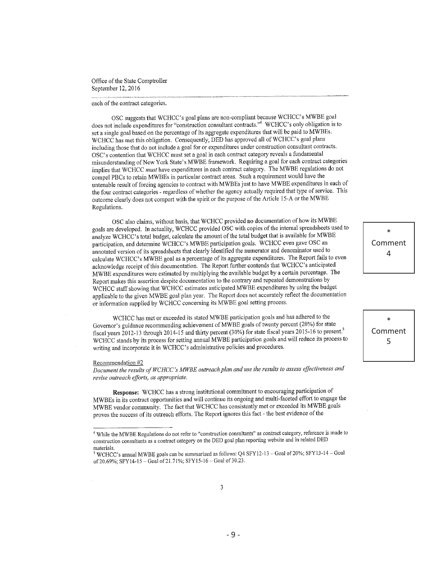#### each of the contract categories.

OSC suggests that WCHCC's goal plans are non-compliant because WCHCC's MWBE goal does not include expenditures for "construction consultant contracts." WCHCC's only obligation is to set a single goal based on the percentage of its aggregate expenditures that will be paid to MWBEs. WCHCC has met this obligation. Consequently, DED has approved all of WCHCC's goal plans including those that do not include a goal for or expenditures under construction consultant contracts. OSC's contention that WCHCC must set a goal in each contract category reveals a fundamental misunderstanding of New York State's MWBE framework. Requiring a goal for each contract categories implies that WCHCC must have expenditures in each contract category. The MWBE regulations do not compel PBCs to retain MWBEs in particular contract areas. Such a requirement would have the untenable result of forcing agencies to contract with MWBEs just to have MWBE expenditures in each of the four contract categories - regardless of whether the agency actually required that type of service. This outcome clearly does not comport with the spirit or the purpose of the Article 15-A or the MWBE Regulations.

OSC also claims, without basis, that WCHCC provided no documentation of how its MWBE goals are developed. In actuality, WCHCC provided OSC with copies of the internal spreadsheets used to analyze WCHCC's total budget, calculate the amount of the total budget that is available for MWBE participation, and determine WCHCC's MWBE participation goals. WCHCC even gave OSC an annotated version of its spreadsheets that clearly identified the numerator and denominator used to calculate WCHCC's MWBE goal as a percentage of its aggregate expenditures. The Report fails to even acknowledge receipt of this documentation. The Report further contends that WCHCC's anticipated MWBE expenditures were estimated by multiplying the available budget by a certain percentage. The Report makes this assertion despite documentation to the contrary and repeated demonstrations by WCHCC staff showing that WCHCC estimates anticipated MWBE expenditures by using the budget applicable to the given MWBE goal plan year. The Report does not accurately reflect the documentation or information supplied by WCHCC concerning its MWBE goal setting process.

WCHCC has met or exceeded its stated MWBE participation goals and has adhered to the Governor's guidance recommending achievement of MWBE goals of twenty percent (20%) for state fiscal years 2012-13 through 2014-15 and thirty percent (30%) for state fiscal years 2015-16 to present.<sup>5</sup> WCHCC stands by its process for setting annual MWBE participation goals and will reduce its process to writing and incorporate it in WCHCC's administrative policies and procedures.

#### Recommendation #2

Document the results of WCHCC's MWBE outreach plan and use the results to assess effectiveness and revise outreach efforts, as appropriate.

Response: WCHCC has a strong institutional commitment to encouraging participation of MWBEs in its contract opportunities and will continue its ongoing and multi-faceted effort to engage the MWBE vendor community. The fact that WCHCC has consistently met or exceeded its MWBE goals proves the success of its outreach efforts. The Report ignores this fact - the best evidence of the

 $\ast$ Comment  $\overline{4}$ 

 $\ast$ Comment 5

<sup>&</sup>lt;sup>4</sup> While the MWBE Regulations do not refer to "construction consultants" as contract category, reference is made to construction consultants as a contract category on the DED goal plan reporting website and in related DED materials.

<sup>&</sup>lt;sup>5</sup> WCHCC's annual MWBE goals can be summarized as follows: Q4 SFY12-13 - Goal of 20%; SFY13-14 - Goal of 20.69%; SFY14-15 - Goal of 21.71%; SFY15-16 - Goal of 30.23.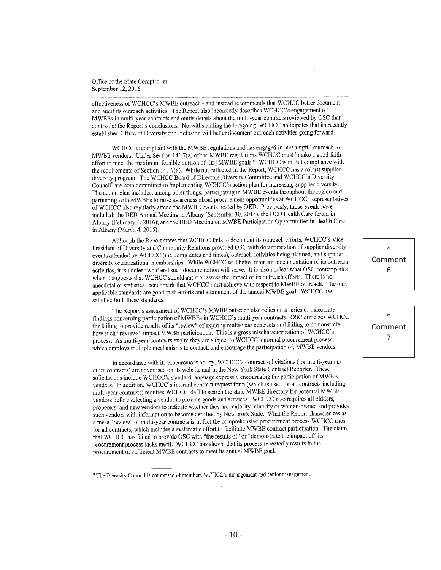effectiveness of WCHCC's MWBE outreach - and instead recommends that WCHCC better document and audit its outreach activities. The Report also incorrectly describes WCHCC's engagement of MWBEs in multi-year contracts and omits details about the multi-year contracts reviewed by OSC that contradict the Report's conclusions. Notwithstanding the foregoing, WCHCC anticipates that its recently established Office of Diversity and Inclusion will better document outreach activities going forward.

WCHCC is compliant with the MWBE regulations and has engaged in meaningful outreach to MWBE vendors. Under Section 141.7(a) of the MWBE regulations WCHCC must "make a good faith effort to meet the maximum feasible portion of [its] MWBE goals." WCHCC is in full compliance with the requirements of Section 141.7(a). While not reflected in the Report, WCHCC has a robust supplier diversity program. The WCHCC Board of Directors Diversity Committee and WCHCC's Diversity Council<sup>6</sup> are both committed to implementing WCHCC's action plan for increasing supplier diversity. The action plan includes, among other things, participating in MWBE events throughout the region and partnering with MWBEs to raise awareness about procurement opportunities at WCHCC. Representatives of WCHCC also regularly attend the MWBE events hosted by DED. Previously, those events have included: the DED Annual Meeting in Albany (September 30, 2015), the DED Health Care forum in Albany (February 4, 2016); and the DED Meeting on MWBE Participation Opportunities in Health Care in Albany (March 4, 2015).

Although the Report states that WCHCC fails to document its outreach efforts, WCHCC's Vice President of Diversity and Community Relations provided OSC with documentation of supplier diversity events attended by WCHCC (including dates and times), outreach activities being planned, and supplier diversity organizational memberships. While WCHCC will better maintain documentation of its outreach activities, it is unclear what end such documentation will serve. It is also unclear what OSC contemplates when it suggests that WCHCC should audit or assess the impact of its outreach efforts. There is no anecdotal or statistical benchmark that WCHCC must achieve with respect to MWBE outreach. The only applicable standards are good faith efforts and attainment of the annual MWBE goal. WCHCC has satisfied both these standards.

The Report's assessment of WCHCC's MWBE outreach also relies on a series of inaccurate findings concerning participation of MWBEs in WCHCC's multi-year contracts. OSC criticizes WCHCC for failing to provide results of its "review" of expiring multi-year contracts and failing to demonstrate how such "reviews" impact MWBE participation. This is a gross mischaracterization of WCHCC's process. As multi-year contracts expire they are subject to WCHCC's normal procurement process, which employs multiple mechanisms to contact, and encourage the participation of, MWBE vendors.

In accordance with its procurement policy, WCHCC's contract solicitations (for multi-year and other contracts) are advertised on its website and in the New York State Contract Reporter. These solicitations include WCHCC's standard language expressly encouraging the participation of MWBE vendors. In addition, WCHCC's internal contract request form (which is used for all contracts including multi-year contracts) requires WCHCC staff to search the state MWBE directory for potential MWBE vendors before selecting a vendor to provide goods and services. WCHCC also requires all bidders, proposers, and new vendors to indicate whether they are majority minority or women-owned and provides such vendors with information to become certified by New York State. What the Report characterizes as a mere "review" of multi-year contracts is in fact the comprehensive procurement process WCHCC uses for all contracts, which includes a systematic effort to facilitate MWBE contract participation. The claim that WCHCC has failed to provide OSC with "the results of" or "demonstrate the impact of" its procurement process lacks merit. WCHCC has shown that its process repeatedly results in the procurement of sufficient MWBE contracts to meet its annual MWBE goal.

 $\ast$ Comment 6



<sup>&</sup>lt;sup>6</sup> The Diversity Council is comprised of members WCHCC's management and senior management.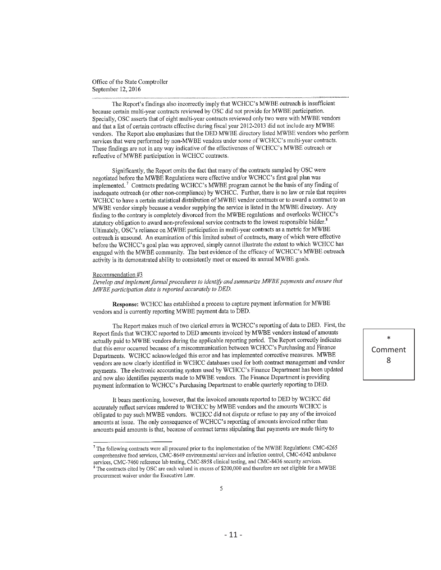The Report's findings also incorrectly imply that WCHCC's MWBE outreach is insufficient because certain multi-year contracts reviewed by OSC did not provide for MWBE participation. Specially, OSC asserts that of eight multi-year contracts reviewed only two were with MWBE vendors and that a list of certain contracts effective during fiscal year 2012-2013 did not include any MWBE vendors. The Report also emphasizes that the DED MWBE directory listed MWBE vendors who perform services that were performed by non-MWBE vendors under some of WCHCC's multi-year contracts. These findings are not in any way indicative of the effectiveness of WCHCC's MWBE outreach or reflective of MWBE participation in WCHCC contracts.

Significantly, the Report omits the fact that many of the contracts sampled by OSC were negotiated before the MWBE Regulations were effective and/or WCHCC's first goal plan was implemented.<sup>7</sup> Contracts predating WCHCC's MWBE program cannot be the basis of any finding of inadequate outreach (or other non-compliance) by WCHCC. Further, there is no law or rule that requires WCHCC to have a certain statistical distribution of MWBE vendor contracts or to award a contract to an MWBE vendor simply because a vendor supplying the service is listed in the MWBE directory. Any finding to the contrary is completely divorced from the MWBE regulations and overlooks WCHCC's statutory obligation to award non-professional service contracts to the lowest responsible bidder.<sup>8</sup> Ultimately, OSC's reliance on MWBE participation in multi-year contracts as a metric for MWBE outreach is unsound. An examination of this limited subset of contracts, many of which were effective before the WCHCC's goal plan was approved, simply cannot illustrate the extent to which WCHCC has engaged with the MWBE community. The best evidence of the efficacy of WCHCC's MWBE outreach activity is its demonstrated ability to consistently meet or exceed its annual MWBE goals.

#### Recommendation #3

Develop and implement formal procedures to identify and summarize MWBE payments and ensure that MWBE participation data is reported accurately to DED.

Response: WCHCC has established a process to capture payment information for MWBE vendors and is currently reporting MWBE payment data to DED.

The Report makes much of two clerical errors in WCHCC's reporting of data to DED. First, the Report finds that WCHCC reported to DED amounts invoiced by MWBE vendors instead of amounts actually paid to MWBE vendors during the applicable reporting period. The Report correctly indicates that this error occurred because of a miscommunication between WCHCC's Purchasing and Finance Departments. WCHCC acknowledged this error and has implemented corrective measures. MWBE vendors are now clearly identified in WCHCC databases used for both contract management and vendor payments. The electronic accounting system used by WCHCC's Finance Department has been updated and now also identifies payments made to MWBE vendors. The Finance Department is providing payment information to WCHCC's Purchasing Department to enable quarterly reporting to DED.

It bears mentioning, however, that the invoiced amounts reported to DED by WCHCC did accurately reflect services rendered to WCHCC by MWBE vendors and the amounts WCHCC is obligated to pay such MWBE vendors. WCHCC did not dispute or refuse to pay any of the invoiced amounts at issue. The only consequence of WCHCC's reporting of amounts invoiced rather than amounts paid amounts is that, because of contract terms stipulating that payments are made thirty to

<sup>&</sup>lt;sup>7</sup> The following contracts were all procured prior to the implementation of the MWBE Regulations: CMC-6265 comprehensive food services, CMC-8649 environmental services and infection control, CMC-6542 ambulance services, CMC-7460 reference lab testing, CMC-8958 clinical testing, and CMC-8436 security services.

<sup>&</sup>lt;sup>8</sup> The contracts cited by OSC are each valued in excess of \$200,000 and therefore are not eligible for a MWBE procurement waiver under the Executive Law.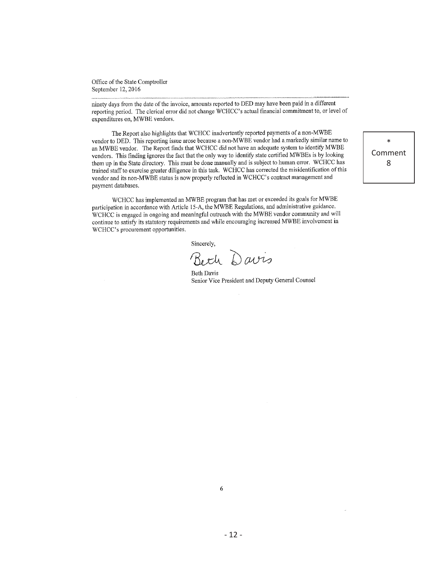ninety days from the date of the invoice, amounts reported to DED may have been paid in a different reporting period. The clerical error did not change WCHCC's actual financial commitment to, or level of expenditures on, MWBE vendors.

The Report also highlights that WCHCC inadvertently reported payments of a non-MWBE vendor to DED. This reporting issue arose because a non-MWBE vendor had a markedly similar name to an MWBE vendor. The Report finds that WCHCC did not have an adequate system to identify MWBE vendors. This finding ignores the fact that the only way to identify state certified MWBEs is by looking them up in the State directory. This must be done manually and is subject to human error. WCHCC has trained staff to exercise greater diligence in this task. WCHCC has corrected the misidentification of this vendor and its non-MWBE status is now properly reflected in WCHCC's contract management and payment databases.

WCHCC has implemented an MWBE program that has met or exceeded its goals for MWBE participation in accordance with Article 15-A, the MWBE Regulations, and administrative guidance. WCHCC is engaged in ongoing and meaningful outreach with the MWBE vendor community and will continue to satisfy its statutory requirements and while encouraging increased MWBE involvement in WCHCC's procurement opportunities.

Sincerely,

Beth Davis

**Beth Davis** Senior Vice President and Deputy General Counsel

 $\ast$ Comment 8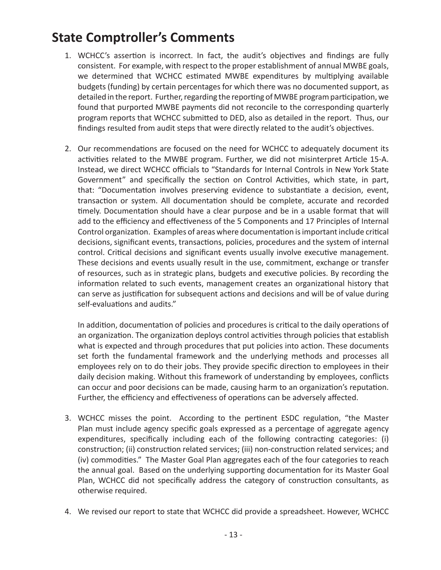# **State Comptroller's Comments**

- 1. WCHCC's assertion is incorrect. In fact, the audit's objectives and findings are fully consistent. For example, with respect to the proper establishment of annual MWBE goals, we determined that WCHCC estimated MWBE expenditures by multiplying available budgets (funding) by certain percentages for which there was no documented support, as detailed in the report. Further, regarding the reporting of MWBE program participation, we found that purported MWBE payments did not reconcile to the corresponding quarterly program reports that WCHCC submitted to DED, also as detailed in the report. Thus, our findings resulted from audit steps that were directly related to the audit's objectives.
- 2. Our recommendations are focused on the need for WCHCC to adequately document its activities related to the MWBE program. Further, we did not misinterpret Article 15-A. Instead, we direct WCHCC officials to "Standards for Internal Controls in New York State Government" and specifically the section on Control Activities, which state, in part, that: "Documentation involves preserving evidence to substantiate a decision, event, transaction or system. All documentation should be complete, accurate and recorded timely. Documentation should have a clear purpose and be in a usable format that will add to the efficiency and effectiveness of the 5 Components and 17 Principles of Internal Control organization. Examples of areas where documentation is important include critical decisions, significant events, transactions, policies, procedures and the system of internal control. Critical decisions and significant events usually involve executive management. These decisions and events usually result in the use, commitment, exchange or transfer of resources, such as in strategic plans, budgets and executive policies. By recording the information related to such events, management creates an organizational history that can serve as justification for subsequent actions and decisions and will be of value during self-evaluations and audits."

In addition, documentation of policies and procedures is critical to the daily operations of an organization. The organization deploys control activities through policies that establish what is expected and through procedures that put policies into action. These documents set forth the fundamental framework and the underlying methods and processes all employees rely on to do their jobs. They provide specific direction to employees in their daily decision making. Without this framework of understanding by employees, conflicts can occur and poor decisions can be made, causing harm to an organization's reputation. Further, the efficiency and effectiveness of operations can be adversely affected.

- 3. WCHCC misses the point. According to the pertinent ESDC regulation, "the Master Plan must include agency specific goals expressed as a percentage of aggregate agency expenditures, specifically including each of the following contracting categories: (i) construction; (ii) construction related services; (iii) non-construction related services; and (iv) commodities." The Master Goal Plan aggregates each of the four categories to reach the annual goal. Based on the underlying supporting documentation for its Master Goal Plan, WCHCC did not specifically address the category of construction consultants, as otherwise required.
- 4. We revised our report to state that WCHCC did provide a spreadsheet. However, WCHCC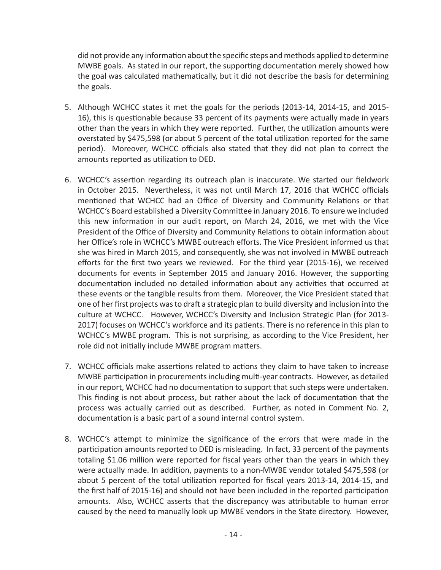did not provide any information about the specific steps and methods applied to determine MWBE goals. As stated in our report, the supporting documentation merely showed how the goal was calculated mathematically, but it did not describe the basis for determining the goals.

- 5. Although WCHCC states it met the goals for the periods (2013-14, 2014-15, and 2015- 16), this is questionable because 33 percent of its payments were actually made in years other than the years in which they were reported. Further, the utilization amounts were overstated by \$475,598 (or about 5 percent of the total utilization reported for the same period). Moreover, WCHCC officials also stated that they did not plan to correct the amounts reported as utilization to DED.
- 6. WCHCC's assertion regarding its outreach plan is inaccurate. We started our fieldwork in October 2015. Nevertheless, it was not until March 17, 2016 that WCHCC officials mentioned that WCHCC had an Office of Diversity and Community Relations or that WCHCC's Board established a Diversity Committee in January 2016. To ensure we included this new information in our audit report, on March 24, 2016, we met with the Vice President of the Office of Diversity and Community Relations to obtain information about her Office's role in WCHCC's MWBE outreach efforts. The Vice President informed us that she was hired in March 2015, and consequently, she was not involved in MWBE outreach efforts for the first two years we reviewed. For the third year (2015-16), we received documents for events in September 2015 and January 2016. However, the supporting documentation included no detailed information about any activities that occurred at these events or the tangible results from them. Moreover, the Vice President stated that one of her first projects was to draft a strategic plan to build diversity and inclusion into the culture at WCHCC. However, WCHCC's Diversity and Inclusion Strategic Plan (for 2013- 2017) focuses on WCHCC's workforce and its patients. There is no reference in this plan to WCHCC's MWBE program. This is not surprising, as according to the Vice President, her role did not initially include MWBE program matters.
- 7. WCHCC officials make assertions related to actions they claim to have taken to increase MWBE participation in procurements including multi-year contracts. However, as detailed in our report, WCHCC had no documentation to support that such steps were undertaken. This finding is not about process, but rather about the lack of documentation that the process was actually carried out as described. Further, as noted in Comment No. 2, documentation is a basic part of a sound internal control system.
- 8. WCHCC's attempt to minimize the significance of the errors that were made in the participation amounts reported to DED is misleading. In fact, 33 percent of the payments totaling \$1.06 million were reported for fiscal years other than the years in which they were actually made. In addition, payments to a non-MWBE vendor totaled \$475,598 (or about 5 percent of the total utilization reported for fiscal years 2013-14, 2014-15, and the first half of 2015-16) and should not have been included in the reported participation amounts. Also, WCHCC asserts that the discrepancy was attributable to human error caused by the need to manually look up MWBE vendors in the State directory. However,